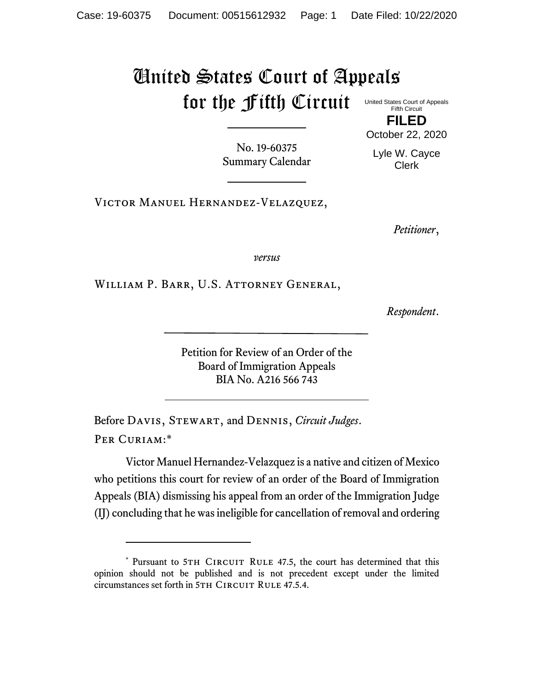## United States Court of Appeals for the Fifth Circuit

United States Court of Appeals Fifth Circuit

**FILED** October 22, 2020

No. 19-60375 Summary Calendar

Lyle W. Cayce Clerk

VICTOR MANUEL HERNANDEZ-VELAZQUEZ,

*Petitioner*,

*versus*

William P. Barr, U.S. Attorney General,

*Respondent*.

Petition for Review of an Order of the Board of Immigration Appeals BIA No. A216 566 743

Before Davis, Stewart, and Dennis, *Circuit Judges*. PER CURIAM:\*

Victor Manuel Hernandez-Velazquez is a native and citizen of Mexico who petitions this court for review of an order of the Board of Immigration Appeals (BIA) dismissing his appeal from an order of the Immigration Judge (IJ) concluding that he was ineligible for cancellation of removal and ordering

<sup>\*</sup> Pursuant to 5TH CIRCUIT RULE 47.5, the court has determined that this opinion should not be published and is not precedent except under the limited circumstances set forth in 5TH CIRCUIT RULE 47.5.4.